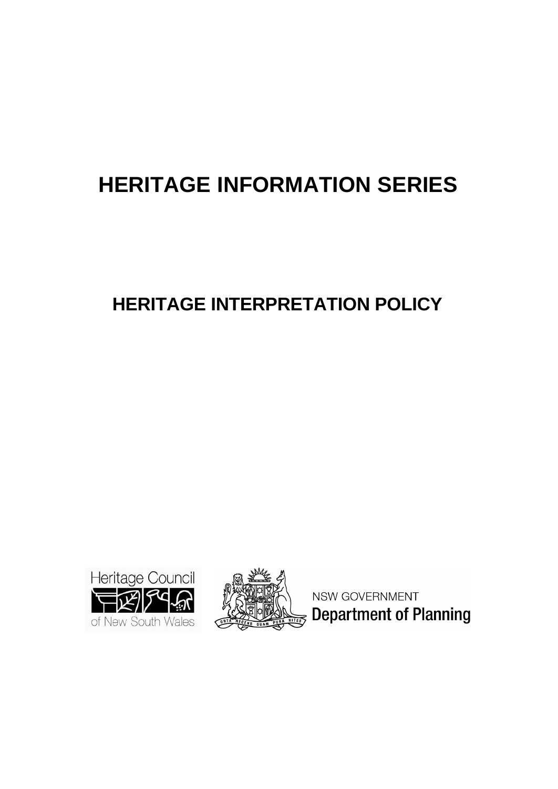# **HERITAGE INFORMATION SERIES**

## **HERITAGE INTERPRETATION POLICY**





NSW GOVERNMENT **Department of Planning**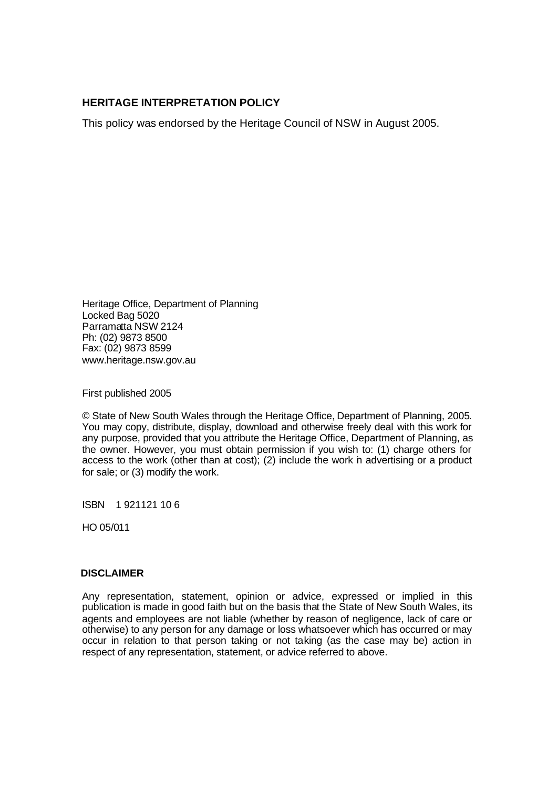## **HERITAGE INTERPRETATION POLICY**

This policy was endorsed by the Heritage Council of NSW in August 2005.

Heritage Office, Department of Planning Locked Bag 5020 Parramatta NSW 2124 Ph: (02) 9873 8500 Fax: (02) 9873 8599 www.heritage.nsw.gov.au

First published 2005

© State of New South Wales through the Heritage Office, Department of Planning, 2005. You may copy, distribute, display, download and otherwise freely deal with this work for any purpose, provided that you attribute the Heritage Office, Department of Planning, as the owner. However, you must obtain permission if you wish to: (1) charge others for access to the work (other than at cost); (2) include the work in advertising or a product for sale; or (3) modify the work.

ISBN 1 921121 10 6

HO 05/011

#### **DISCLAIMER**

Any representation, statement, opinion or advice, expressed or implied in this publication is made in good faith but on the basis that the State of New South Wales, its agents and employees are not liable (whether by reason of negligence, lack of care or otherwise) to any person for any damage or loss whatsoever which has occurred or may occur in relation to that person taking or not taking (as the case may be) action in respect of any representation, statement, or advice referred to above.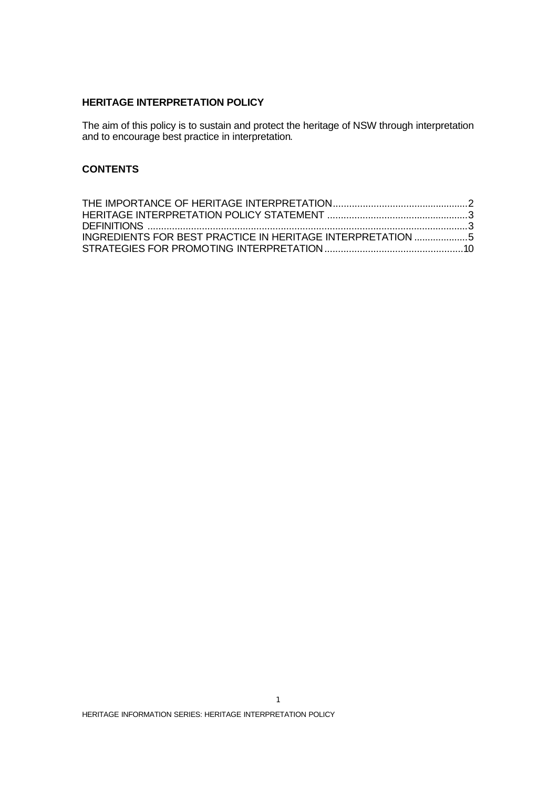## **HERITAGE INTERPRETATION POLICY**

The aim of this policy is to sustain and protect the heritage of NSW through interpretation and to encourage best practice in interpretation.

#### **CONTENTS**

| <b>INGREDIENTS FOR BEST PRACTICE IN HERITAGE INTERPRETATION 5</b> |  |
|-------------------------------------------------------------------|--|
|                                                                   |  |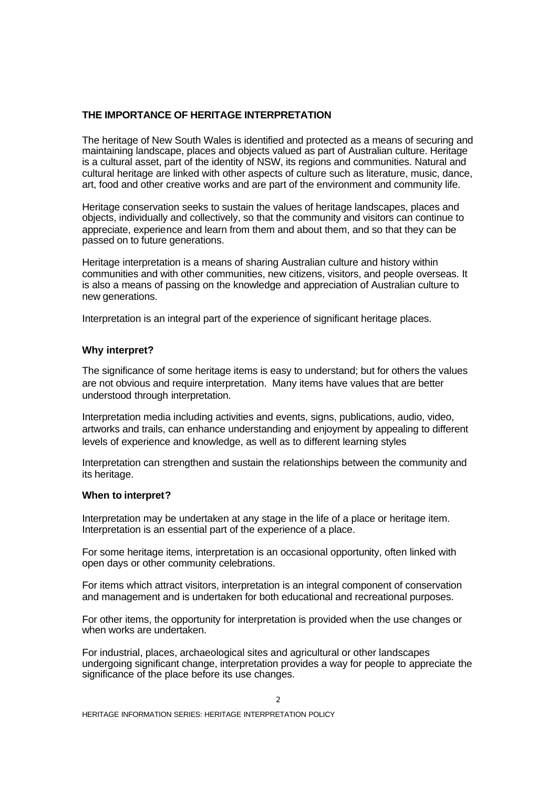#### **THE IMPORTANCE OF HERITAGE INTERPRETATION**

The heritage of New South Wales is identified and protected as a means of securing and maintaining landscape, places and objects valued as part of Australian culture. Heritage is a cultural asset, part of the identity of NSW, its regions and communities. Natural and cultural heritage are linked with other aspects of culture such as literature, music, dance, art, food and other creative works and are part of the environment and community life.

Heritage conservation seeks to sustain the values of heritage landscapes, places and objects, individually and collectively, so that the community and visitors can continue to appreciate, experience and learn from them and about them, and so that they can be passed on to future generations.

Heritage interpretation is a means of sharing Australian culture and history within communities and with other communities, new citizens, visitors, and people overseas. It is also a means of passing on the knowledge and appreciation of Australian culture to new generations.

Interpretation is an integral part of the experience of significant heritage places.

#### **Why interpret?**

The significance of some heritage items is easy to understand; but for others the values are not obvious and require interpretation. Many items have values that are better understood through interpretation.

Interpretation media including activities and events, signs, publications, audio, video, artworks and trails, can enhance understanding and enjoyment by appealing to different levels of experience and knowledge, as well as to different learning styles

Interpretation can strengthen and sustain the relationships between the community and its heritage.

#### **When to interpret?**

Interpretation may be undertaken at any stage in the life of a place or heritage item. Interpretation is an essential part of the experience of a place.

For some heritage items, interpretation is an occasional opportunity, often linked with open days or other community celebrations.

For items which attract visitors, interpretation is an integral component of conservation and management and is undertaken for both educational and recreational purposes.

For other items, the opportunity for interpretation is provided when the use changes or when works are undertaken.

For industrial, places, archaeological sites and agricultural or other landscapes undergoing significant change, interpretation provides a way for people to appreciate the significance of the place before its use changes.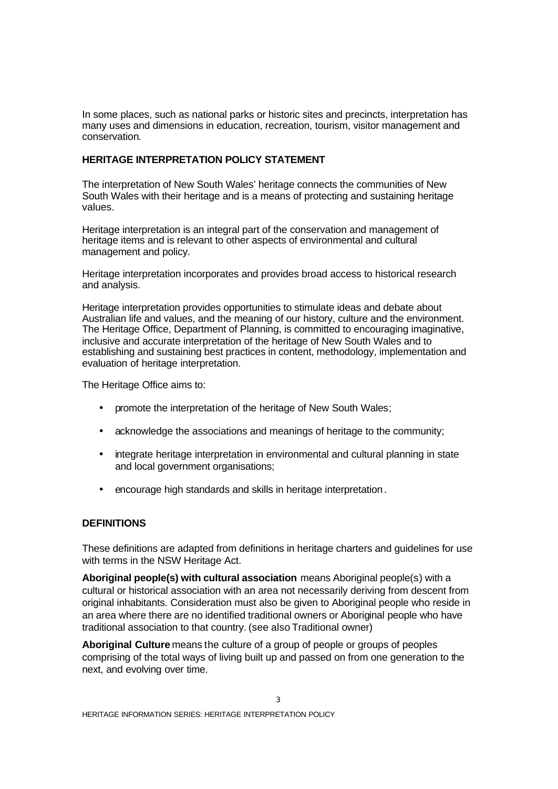In some places, such as national parks or historic sites and precincts, interpretation has many uses and dimensions in education, recreation, tourism, visitor management and conservation.

#### **HERITAGE INTERPRETATION POLICY STATEMENT**

The interpretation of New South Wales' heritage connects the communities of New South Wales with their heritage and is a means of protecting and sustaining heritage values.

Heritage interpretation is an integral part of the conservation and management of heritage items and is relevant to other aspects of environmental and cultural management and policy.

Heritage interpretation incorporates and provides broad access to historical research and analysis.

Heritage interpretation provides opportunities to stimulate ideas and debate about Australian life and values, and the meaning of our history, culture and the environment. The Heritage Office, Department of Planning, is committed to encouraging imaginative, inclusive and accurate interpretation of the heritage of New South Wales and to establishing and sustaining best practices in content, methodology, implementation and evaluation of heritage interpretation.

The Heritage Office aims to:

- promote the interpretation of the heritage of New South Wales;
- acknowledge the associations and meanings of heritage to the community;
- integrate heritage interpretation in environmental and cultural planning in state and local government organisations;
- encourage high standards and skills in heritage interpretation.

## **DEFINITIONS**

These definitions are adapted from definitions in heritage charters and guidelines for use with terms in the NSW Heritage Act.

**Aboriginal people(s) with cultural association** means Aboriginal people(s) with a cultural or historical association with an area not necessarily deriving from descent from original inhabitants. Consideration must also be given to Aboriginal people who reside in an area where there are no identified traditional owners or Aboriginal people who have traditional association to that country. (see also Traditional owner)

**Aboriginal Culture** means the culture of a group of people or groups of peoples comprising of the total ways of living built up and passed on from one generation to the next, and evolving over time.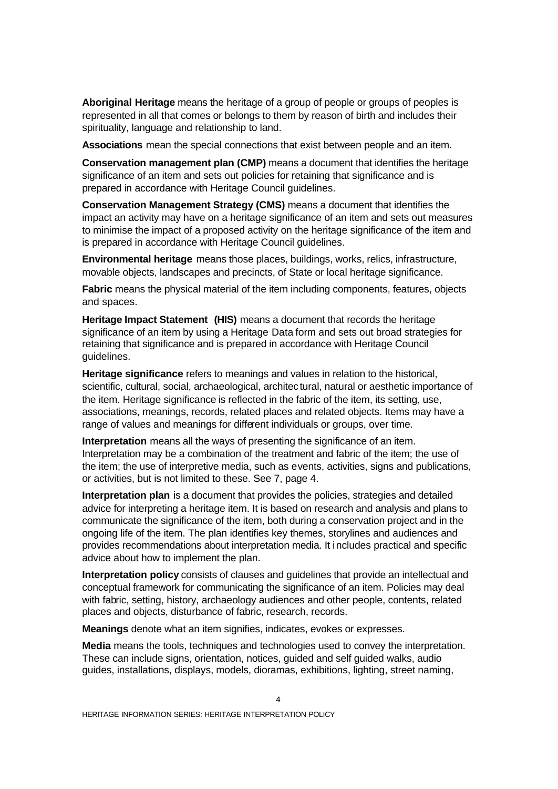**Aboriginal Heritage** means the heritage of a group of people or groups of peoples is represented in all that comes or belongs to them by reason of birth and includes their spirituality, language and relationship to land.

**Associations** mean the special connections that exist between people and an item.

**Conservation management plan (CMP)** means a document that identifies the heritage significance of an item and sets out policies for retaining that significance and is prepared in accordance with Heritage Council guidelines.

**Conservation Management Strategy (CMS)** means a document that identifies the impact an activity may have on a heritage significance of an item and sets out measures to minimise the impact of a proposed activity on the heritage significance of the item and is prepared in accordance with Heritage Council guidelines.

**Environmental heritage** means those places, buildings, works, relics, infrastructure, movable objects, landscapes and precincts, of State or local heritage significance.

**Fabric** means the physical material of the item including components, features, objects and spaces.

**Heritage Impact Statement (HIS)** means a document that records the heritage significance of an item by using a Heritage Data form and sets out broad strategies for retaining that significance and is prepared in accordance with Heritage Council guidelines.

**Heritage significance** refers to meanings and values in relation to the historical, scientific, cultural, social, archaeological, architec tural, natural or aesthetic importance of the item. Heritage significance is reflected in the fabric of the item, its setting, use, associations, meanings, records, related places and related objects. Items may have a range of values and meanings for different individuals or groups, over time.

**Interpretation** means all the ways of presenting the significance of an item. Interpretation may be a combination of the treatment and fabric of the item; the use of the item; the use of interpretive media, such as events, activities, signs and publications, or activities, but is not limited to these. See 7, page 4.

**Interpretation plan** is a document that provides the policies, strategies and detailed advice for interpreting a heritage item. It is based on research and analysis and plans to communicate the significance of the item, both during a conservation project and in the ongoing life of the item. The plan identifies key themes, storylines and audiences and provides recommendations about interpretation media. It includes practical and specific advice about how to implement the plan.

**Interpretation policy** consists of clauses and guidelines that provide an intellectual and conceptual framework for communicating the significance of an item. Policies may deal with fabric, setting, history, archaeology audiences and other people, contents, related places and objects, disturbance of fabric, research, records.

**Meanings** denote what an item signifies, indicates, evokes or expresses.

**Media** means the tools, techniques and technologies used to convey the interpretation. These can include signs, orientation, notices, guided and self guided walks, audio guides, installations, displays, models, dioramas, exhibitions, lighting, street naming,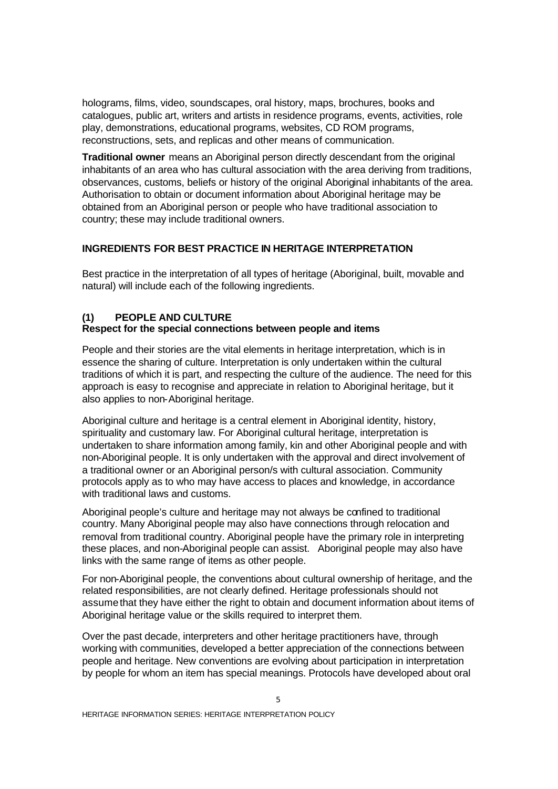holograms, films, video, soundscapes, oral history, maps, brochures, books and catalogues, public art, writers and artists in residence programs, events, activities, role play, demonstrations, educational programs, websites, CD ROM programs, reconstructions, sets, and replicas and other means of communication.

**Traditional owner** means an Aboriginal person directly descendant from the original inhabitants of an area who has cultural association with the area deriving from traditions, observances, customs, beliefs or history of the original Aboriginal inhabitants of the area. Authorisation to obtain or document information about Aboriginal heritage may be obtained from an Aboriginal person or people who have traditional association to country; these may include traditional owners.

#### **INGREDIENTS FOR BEST PRACTICE IN HERITAGE INTERPRETATION**

Best practice in the interpretation of all types of heritage (Aboriginal, built, movable and natural) will include each of the following ingredients.

## **(1) PEOPLE AND CULTURE**

#### **Respect for the special connections between people and items**

People and their stories are the vital elements in heritage interpretation, which is in essence the sharing of culture. Interpretation is only undertaken within the cultural traditions of which it is part, and respecting the culture of the audience. The need for this approach is easy to recognise and appreciate in relation to Aboriginal heritage, but it also applies to non-Aboriginal heritage.

Aboriginal culture and heritage is a central element in Aboriginal identity, history, spirituality and customary law. For Aboriginal cultural heritage, interpretation is undertaken to share information among family, kin and other Aboriginal people and with non-Aboriginal people. It is only undertaken with the approval and direct involvement of a traditional owner or an Aboriginal person/s with cultural association. Community protocols apply as to who may have access to places and knowledge, in accordance with traditional laws and customs.

Aboriginal people's culture and heritage may not always be confined to traditional country. Many Aboriginal people may also have connections through relocation and removal from traditional country. Aboriginal people have the primary role in interpreting these places, and non-Aboriginal people can assist. Aboriginal people may also have links with the same range of items as other people.

For non-Aboriginal people, the conventions about cultural ownership of heritage, and the related responsibilities, are not clearly defined. Heritage professionals should not assume that they have either the right to obtain and document information about items of Aboriginal heritage value or the skills required to interpret them.

Over the past decade, interpreters and other heritage practitioners have, through working with communities, developed a better appreciation of the connections between people and heritage. New conventions are evolving about participation in interpretation by people for whom an item has special meanings. Protocols have developed about oral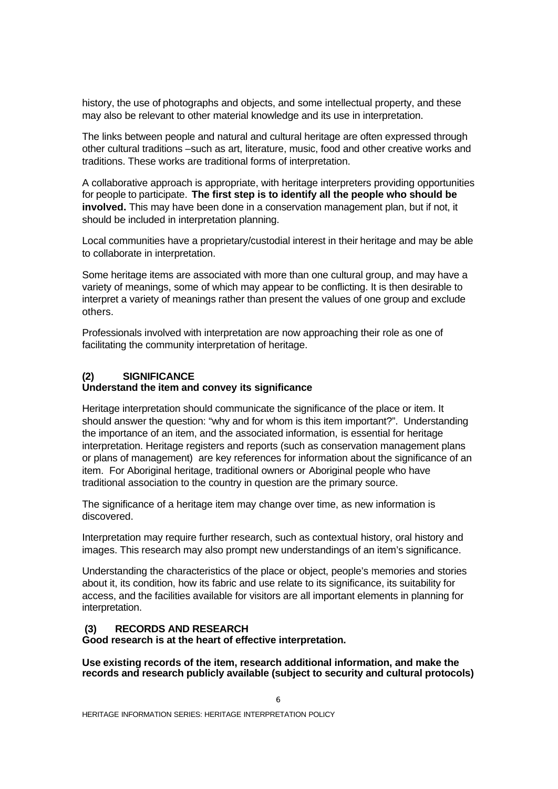history, the use of photographs and objects, and some intellectual property, and these may also be relevant to other material knowledge and its use in interpretation.

The links between people and natural and cultural heritage are often expressed through other cultural traditions –such as art, literature, music, food and other creative works and traditions. These works are traditional forms of interpretation.

A collaborative approach is appropriate, with heritage interpreters providing opportunities for people to participate. **The first step is to identify all the people who should be involved.** This may have been done in a conservation management plan, but if not, it should be included in interpretation planning.

Local communities have a proprietary/custodial interest in their heritage and may be able to collaborate in interpretation.

Some heritage items are associated with more than one cultural group, and may have a variety of meanings, some of which may appear to be conflicting. It is then desirable to interpret a variety of meanings rather than present the values of one group and exclude others.

Professionals involved with interpretation are now approaching their role as one of facilitating the community interpretation of heritage.

## **(2) SIGNIFICANCE**

#### **Understand the item and convey its significance**

Heritage interpretation should communicate the significance of the place or item. It should answer the question: "why and for whom is this item important?". Understanding the importance of an item, and the associated information, is essential for heritage interpretation. Heritage registers and reports (such as conservation management plans or plans of management) are key references for information about the significance of an item. For Aboriginal heritage, traditional owners or Aboriginal people who have traditional association to the country in question are the primary source.

The significance of a heritage item may change over time, as new information is discovered.

Interpretation may require further research, such as contextual history, oral history and images. This research may also prompt new understandings of an item's significance.

Understanding the characteristics of the place or object, people's memories and stories about it, its condition, how its fabric and use relate to its significance, its suitability for access, and the facilities available for visitors are all important elements in planning for interpretation.

#### **(3) RECORDS AND RESEARCH**

**Good research is at the heart of effective interpretation.**

**Use existing records of the item, research additional information, and make the records and research publicly available (subject to security and cultural protocols)**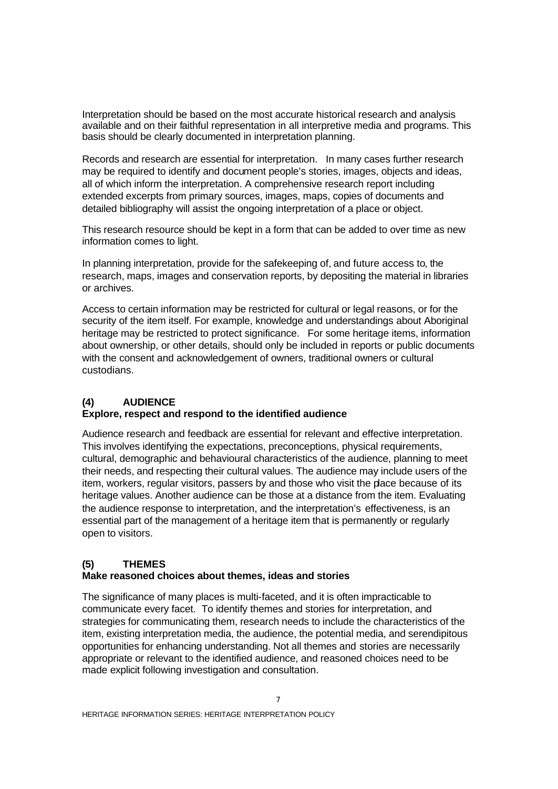Interpretation should be based on the most accurate historical research and analysis available and on their faithful representation in all interpretive media and programs. This basis should be clearly documented in interpretation planning.

Records and research are essential for interpretation. In many cases further research may be required to identify and document people's stories, images, objects and ideas, all of which inform the interpretation. A comprehensive research report including extended excerpts from primary sources, images, maps, copies of documents and detailed bibliography will assist the ongoing interpretation of a place or object.

This research resource should be kept in a form that can be added to over time as new information comes to light.

In planning interpretation, provide for the safekeeping of, and future access to, the research, maps, images and conservation reports, by depositing the material in libraries or archives.

Access to certain information may be restricted for cultural or legal reasons, or for the security of the item itself. For example, knowledge and understandings about Aboriginal heritage may be restricted to protect significance. For some heritage items, information about ownership, or other details, should only be included in reports or public documents with the consent and acknowledgement of owners, traditional owners or cultural custodians.

## **(4) AUDIENCE**

## **Explore, respect and respond to the identified audience**

Audience research and feedback are essential for relevant and effective interpretation. This involves identifying the expectations, preconceptions, physical requirements, cultural, demographic and behavioural characteristics of the audience, planning to meet their needs, and respecting their cultural values. The audience may include users of the item, workers, regular visitors, passers by and those who visit the place because of its heritage values. Another audience can be those at a distance from the item. Evaluating the audience response to interpretation, and the interpretation's effectiveness, is an essential part of the management of a heritage item that is permanently or regularly open to visitors.

## **(5) THEMES**

#### **Make reasoned choices about themes, ideas and stories**

The significance of many places is multi-faceted, and it is often impracticable to communicate every facet. To identify themes and stories for interpretation, and strategies for communicating them, research needs to include the characteristics of the item, existing interpretation media, the audience, the potential media, and serendipitous opportunities for enhancing understanding. Not all themes and stories are necessarily appropriate or relevant to the identified audience, and reasoned choices need to be made explicit following investigation and consultation.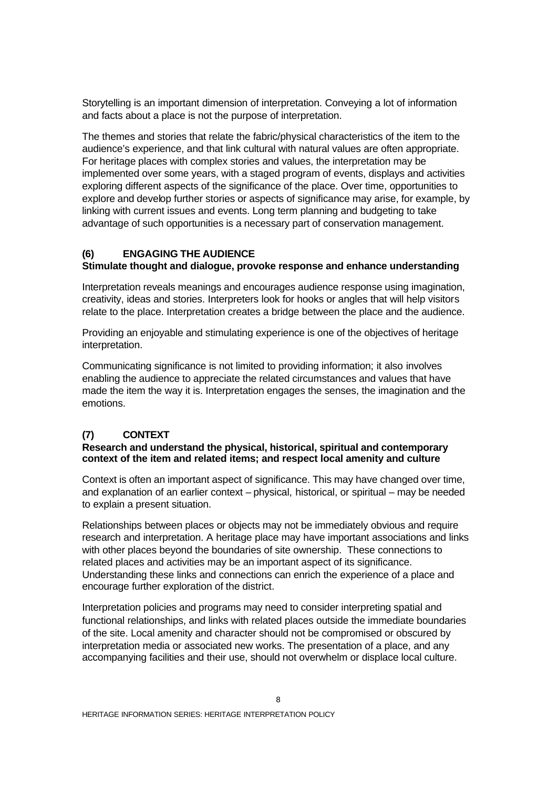Storytelling is an important dimension of interpretation. Conveying a lot of information and facts about a place is not the purpose of interpretation.

The themes and stories that relate the fabric/physical characteristics of the item to the audience's experience, and that link cultural with natural values are often appropriate. For heritage places with complex stories and values, the interpretation may be implemented over some years, with a staged program of events, displays and activities exploring different aspects of the significance of the place. Over time, opportunities to explore and develop further stories or aspects of significance may arise, for example, by linking with current issues and events. Long term planning and budgeting to take advantage of such opportunities is a necessary part of conservation management.

## **(6) ENGAGING THE AUDIENCE**

#### **Stimulate thought and dialogue, provoke response and enhance understanding**

Interpretation reveals meanings and encourages audience response using imagination, creativity, ideas and stories. Interpreters look for hooks or angles that will help visitors relate to the place. Interpretation creates a bridge between the place and the audience.

Providing an enjoyable and stimulating experience is one of the objectives of heritage interpretation.

Communicating significance is not limited to providing information; it also involves enabling the audience to appreciate the related circumstances and values that have made the item the way it is. Interpretation engages the senses, the imagination and the emotions.

## **(7) CONTEXT**

#### **Research and understand the physical, historical, spiritual and contemporary context of the item and related items; and respect local amenity and culture**

Context is often an important aspect of significance. This may have changed over time, and explanation of an earlier context – physical, historical, or spiritual – may be needed to explain a present situation.

Relationships between places or objects may not be immediately obvious and require research and interpretation. A heritage place may have important associations and links with other places beyond the boundaries of site ownership. These connections to related places and activities may be an important aspect of its significance. Understanding these links and connections can enrich the experience of a place and encourage further exploration of the district.

Interpretation policies and programs may need to consider interpreting spatial and functional relationships, and links with related places outside the immediate boundaries of the site. Local amenity and character should not be compromised or obscured by interpretation media or associated new works. The presentation of a place, and any accompanying facilities and their use, should not overwhelm or displace local culture.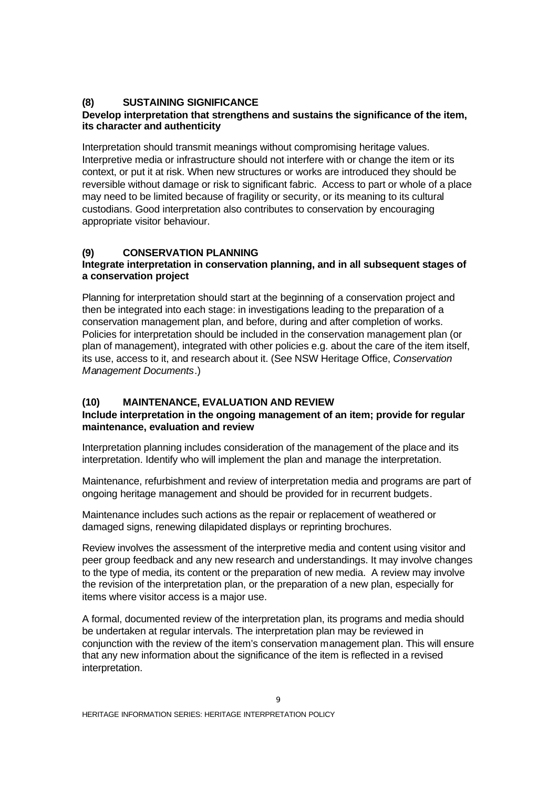## **(8) SUSTAINING SIGNIFICANCE**

## **Develop interpretation that strengthens and sustains the significance of the item, its character and authenticity**

Interpretation should transmit meanings without compromising heritage values. Interpretive media or infrastructure should not interfere with or change the item or its context, or put it at risk. When new structures or works are introduced they should be reversible without damage or risk to significant fabric. Access to part or whole of a place may need to be limited because of fragility or security, or its meaning to its cultural custodians. Good interpretation also contributes to conservation by encouraging appropriate visitor behaviour.

## **(9) CONSERVATION PLANNING**

#### **Integrate interpretation in conservation planning, and in all subsequent stages of a conservation project**

Planning for interpretation should start at the beginning of a conservation project and then be integrated into each stage: in investigations leading to the preparation of a conservation management plan, and before, during and after completion of works. Policies for interpretation should be included in the conservation management plan (or plan of management), integrated with other policies e.g. about the care of the item itself, its use, access to it, and research about it. (See NSW Heritage Office, *Conservation Management Documents*.)

## **(10) MAINTENANCE, EVALUATION AND REVIEW**

## **Include interpretation in the ongoing management of an item; provide for regular maintenance, evaluation and review**

Interpretation planning includes consideration of the management of the place and its interpretation. Identify who will implement the plan and manage the interpretation.

Maintenance, refurbishment and review of interpretation media and programs are part of ongoing heritage management and should be provided for in recurrent budgets.

Maintenance includes such actions as the repair or replacement of weathered or damaged signs, renewing dilapidated displays or reprinting brochures.

Review involves the assessment of the interpretive media and content using visitor and peer group feedback and any new research and understandings. It may involve changes to the type of media, its content or the preparation of new media. A review may involve the revision of the interpretation plan, or the preparation of a new plan, especially for items where visitor access is a major use.

A formal, documented review of the interpretation plan, its programs and media should be undertaken at regular intervals. The interpretation plan may be reviewed in conjunction with the review of the item's conservation management plan. This will ensure that any new information about the significance of the item is reflected in a revised interpretation.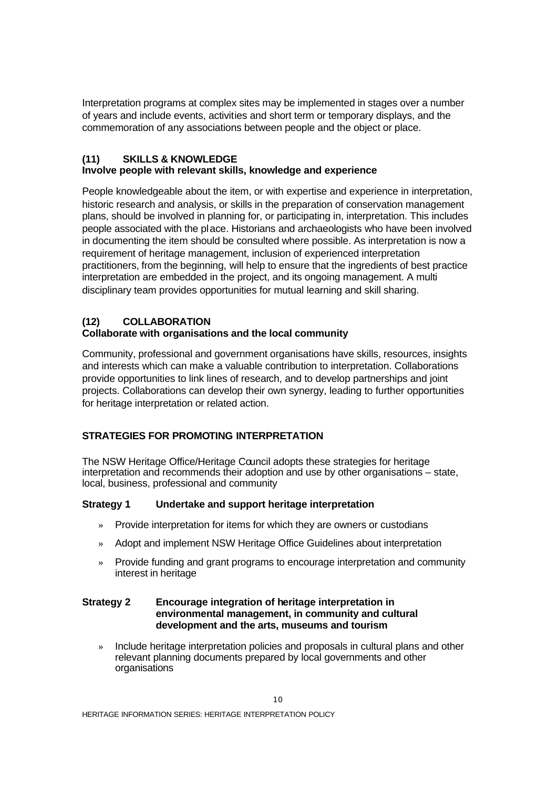Interpretation programs at complex sites may be implemented in stages over a number of years and include events, activities and short term or temporary displays, and the commemoration of any associations between people and the object or place.

## **(11) SKILLS & KNOWLEDGE**

## **Involve people with relevant skills, knowledge and experience**

People knowledgeable about the item, or with expertise and experience in interpretation, historic research and analysis, or skills in the preparation of conservation management plans, should be involved in planning for, or participating in, interpretation. This includes people associated with the place. Historians and archaeologists who have been involved in documenting the item should be consulted where possible. As interpretation is now a requirement of heritage management, inclusion of experienced interpretation practitioners, from the beginning, will help to ensure that the ingredients of best practice interpretation are embedded in the project, and its ongoing management. A multi disciplinary team provides opportunities for mutual learning and skill sharing.

## **(12) COLLABORATION**

## **Collaborate with organisations and the local community**

Community, professional and government organisations have skills, resources, insights and interests which can make a valuable contribution to interpretation. Collaborations provide opportunities to link lines of research, and to develop partnerships and joint projects. Collaborations can develop their own synergy, leading to further opportunities for heritage interpretation or related action.

## **STRATEGIES FOR PROMOTING INTERPRETATION**

The NSW Heritage Office/Heritage Council adopts these strategies for heritage interpretation and recommends their adoption and use by other organisations – state, local, business, professional and community

#### **Strategy 1 Undertake and support heritage interpretation**

- » Provide interpretation for items for which they are owners or custodians
- » Adopt and implement NSW Heritage Office Guidelines about interpretation
- » Provide funding and grant programs to encourage interpretation and community interest in heritage

#### **Strategy 2 Encourage integration of heritage interpretation in environmental management, in community and cultural development and the arts, museums and tourism**

» Include heritage interpretation policies and proposals in cultural plans and other relevant planning documents prepared by local governments and other organisations